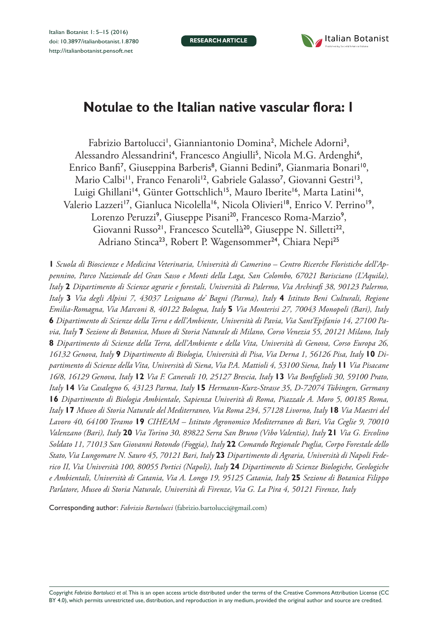**RESEARCH ARTICLE**



# **Notulae to the Italian native vascular flora: 1**

Fabrizio Bartolucci<sup>1</sup>, Gianniantonio Domina<sup>2</sup>, Michele Adorni<sup>3</sup>, Alessandro Alessandrini<sup>4</sup>, Francesco Angiulli<sup>5</sup>, Nicola M.G. Ardenghi<sup>6</sup>, Enrico Banfi<sup>7</sup>, Giuseppina Barberis<sup>8</sup>, Gianni Bedini<sup>9</sup>, Gianmaria Bonari<sup>10</sup>, Mario Calbi<sup>11</sup>, Franco Fenaroli<sup>12</sup>, Gabriele Galasso<sup>7</sup>, Giovanni Gestri<sup>13</sup>, Luigi Ghillani<sup>14</sup>, Günter Gottschlich<sup>15</sup>, Mauro Iberite<sup>16</sup>, Marta Latini<sup>16</sup>, Valerio Lazzeri<sup>17</sup>, Gianluca Nicolella<sup>16</sup>, Nicola Olivieri<sup>18</sup>, Enrico V. Perrino<sup>19</sup>, Lorenzo Peruzzi<sup>9</sup>, Giuseppe Pisani<sup>20</sup>, Francesco Roma-Marzio<sup>9</sup>, Giovanni Russo<sup>21</sup>, Francesco Scutellà<sup>20</sup>, Giuseppe N. Silletti<sup>22</sup>, Adriano Stinca<sup>23</sup>, Robert P. Wagensommer<sup>24</sup>, Chiara Nepi<sup>25</sup>

**1** *Scuola di Bioscienze e Medicina Veterinaria, Università di Camerino – Centro Ricerche Floristiche dell'Appennino, Parco Nazionale del Gran Sasso e Monti della Laga, San Colombo, 67021 Barisciano (L'Aquila), Italy* **2** *Dipartimento di Scienze agrarie e forestali, Università di Palermo, Via Archirafi 38, 90123 Palermo, Italy* **3** *Via degli Alpini 7, 43037 Lesignano de' Bagni (Parma), Italy* **4** *Istituto Beni Culturali, Regione Emilia-Romagna, Via Marconi 8, 40122 Bologna, Italy* **5** *Via Monterisi 27, 70043 Monopoli (Bari), Italy*  **6** *Dipartimento di Scienze della Terra e dell'Ambiente, Università di Pavia, Via Sant'Epifanio 14, 27100 Pavia, Italy* **7** *Sezione di Botanica, Museo di Storia Naturale di Milano, Corso Venezia 55, 20121 Milano, Italy*  **8** *Dipartimento di Scienze della Terra, dell'Ambiente e della Vita, Università di Genova, Corso Europa 26, 16132 Genova, Italy* **9** *Dipartimento di Biologia, Università di Pisa, Via Derna 1, 56126 Pisa, Italy* **10** *Dipartimento di Scienze della Vita, Università di Siena, Via P.A. Mattioli 4, 53100 Siena, Italy* **11** *Via Pisacane 16/8, 16129 Genova, Italy* **12** *Via F. Canevali 10, 25127 Brescia, Italy* **13** *Via Bonfiglioli 30, 59100 Prato, Italy* **14** *Via Casalegno 6, 43123 Parma, Italy* **15** *Hermann-Kurz-Strasse 35, D-72074 Tübingen, Germany*  **16** *Dipartimento di Biologia Ambientale, Sapienza Univerità di Roma, Piazzale A. Moro 5, 00185 Roma, Italy* **17** *Museo di Storia Naturale del Mediterraneo, Via Roma 234, 57128 Livorno, Italy* **18** *Via Maestri del Lavoro 40, 64100 Teramo* **19** *CIHEAM – Istituto Agronomico Mediterraneo di Bari, Via Ceglie 9, 70010 Valenzano (Bari), Italy* **20** *Via Torino 30, 89822 Serra San Bruno (Vibo Valentia), Italy* **21** *Via G. Ercolino Soldato 11, 71013 San Giovanni Rotondo (Foggia), Italy* **22** *Comando Regionale Puglia, Corpo Forestale dello Stato, Via Lungomare N. Sauro 45, 70121 Bari, Italy* **23** *Dipartimento di Agraria, Università di Napoli Federico II, Via Università 100, 80055 Portici (Napoli), Italy* **24** *Dipartimento di Scienze Biologiche, Geologiche e Ambientali, Università di Catania, Via A. Longo 19, 95125 Catania, Italy* **25** *Sezione di Botanica Filippo Parlatore, Museo di Storia Naturale, Università di Firenze, Via G. La Pira 4, 50121 Firenze, Italy*

Corresponding author: *Fabrizio Bartolucci* [\(fabrizio.bartolucci@gmail.com\)](mailto:fabrizio.bartolucci@gmail.com)

Copyright *Fabrizio Bartolucci et al.* This is an open access article distributed under the terms of the [Creative Commons Attribution License \(CC](http://creativecommons.org/licenses/by/4.0/)  [BY 4.0\)](http://creativecommons.org/licenses/by/4.0/), which permits unrestricted use, distribution, and reproduction in any medium, provided the original author and source are credited.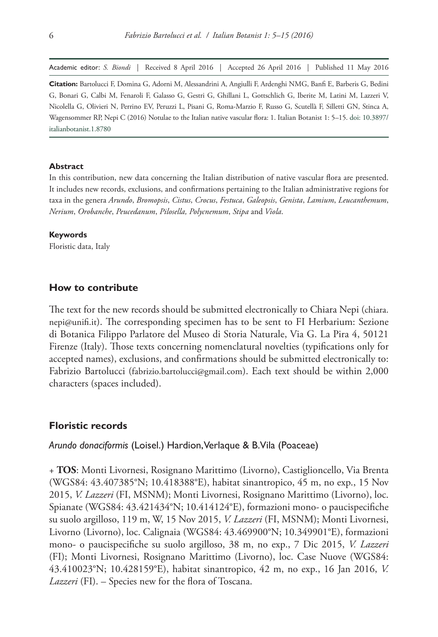Academic editor: *S. Biondi* | Received 8 April 2016 | Accepted 26 April 2016 | Published 11 May 2016

**Citation:** Bartolucci F, Domina G, Adorni M, Alessandrini A, Angiulli F, Ardenghi NMG, Banfi E, Barberis G, Bedini G, Bonari G, Calbi M, Fenaroli F, Galasso G, Gestri G, Ghillani L, Gottschlich G, Iberite M, Latini M, Lazzeri V, Nicolella G, Olivieri N, Perrino EV, Peruzzi L, Pisani G, Roma-Marzio F, Russo G, Scutellà F, Silletti GN, Stinca A, Wagensommer RP, Nepi C (2016) Notulae to the Italian native vascular flora: 1. Italian Botanist 1: 5–15. [doi: 10.3897/](http://dx.doi.org/10.3897/italianbotanist.1.8780) [italianbotanist.1.8780](http://dx.doi.org/10.3897/italianbotanist.1.8780)

#### **Abstract**

In this contribution, new data concerning the Italian distribution of native vascular flora are presented. It includes new records, exclusions, and confirmations pertaining to the Italian administrative regions for taxa in the genera *Arundo*, *Bromopsis*, *Cistus*, *Crocus*, *Festuca*, *Galeopsis*, *Genista*, *Lamium*, *Leucanthemum*, *Nerium*, *Orobanche*, *Peucedanum*, *Pilosella, Polycnemum*, *Stipa* and *Viola*.

#### **Keywords**

Floristic data, Italy

#### **How to contribute**

The text for the new records should be submitted electronically to Chiara Nepi ([chiara.](mailto:chiara.nepi@unifi.it) [nepi@unifi.it](mailto:chiara.nepi@unifi.it)). The corresponding specimen has to be sent to FI Herbarium: Sezione di Botanica Filippo Parlatore del Museo di Storia Naturale, Via G. La Pira 4, 50121 Firenze (Italy). Those texts concerning nomenclatural novelties (typifications only for accepted names), exclusions, and confirmations should be submitted electronically to: Fabrizio Bartolucci ([fabrizio.bartolucci@gmail.com](mailto:fabrizio.bartolucci@gmail.com)). Each text should be within 2,000 characters (spaces included).

#### **Floristic records**

#### *Arundo donaciformis* (Loisel.) Hardion, Verlaque & B.Vila (Poaceae)

+ **TOS**: Monti Livornesi, Rosignano Marittimo (Livorno), Castiglioncello, Via Brenta (WGS84: 43.407385°N; 10.418388°E), habitat sinantropico, 45 m, no exp., 15 Nov 2015, *V. Lazzeri* (FI, MSNM); Monti Livornesi, Rosignano Marittimo (Livorno), loc. Spianate (WGS84: 43.421434°N; 10.414124°E), formazioni mono- o paucispecifiche su suolo argilloso, 119 m, W, 15 Nov 2015, *V. Lazzeri* (FI, MSNM); Monti Livornesi, Livorno (Livorno), loc. Calignaia (WGS84: 43.469900°N; 10.349901°E), formazioni mono- o paucispecifiche su suolo argilloso, 38 m, no exp., 7 Dic 2015, *V. Lazzeri* (FI); Monti Livornesi, Rosignano Marittimo (Livorno), loc. Case Nuove (WGS84: 43.410023°N; 10.428159°E), habitat sinantropico, 42 m, no exp., 16 Jan 2016, *V. Lazzeri* (FI). – Species new for the flora of Toscana.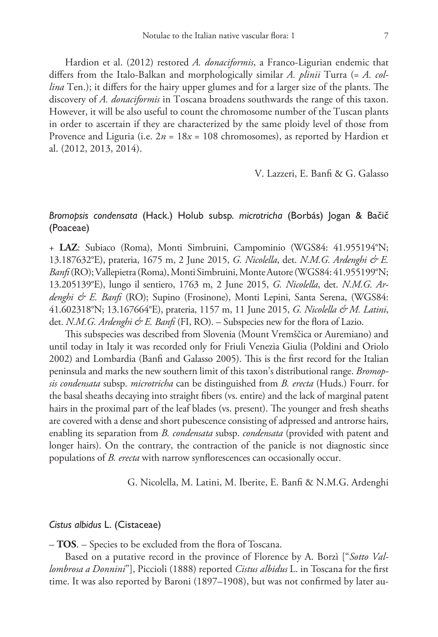Hardion et al. (2012) restored *A. donaciformis*, a Franco-Ligurian endemic that differs from the Italo-Balkan and morphologically similar *A. plinii* Turra (= *A. collina* Ten.); it differs for the hairy upper glumes and for a larger size of the plants. The discovery of *A. donaciformis* in Toscana broadens southwards the range of this taxon. However, it will be also useful to count the chromosome number of the Tuscan plants in order to ascertain if they are characterized by the same ploidy level of those from Provence and Liguria (i.e.  $2n = 18x = 108$  chromosomes), as reported by Hardion et al. (2012, 2013, 2014).

V. Lazzeri, E. Banfi & G. Galasso

# *Bromopsis condensata* (Hack.) Holub subsp. *microtricha* (Borbás) Jogan & Bačič (Poaceae)

+ **LAZ**: Subiaco (Roma), Monti Simbruini, Campominio (WGS84: 41.955194°N; 13.187632°E), prateria, 1675 m, 2 June 2015, *G. Nicolella*, det. *N.M.G. Ardenghi & E. Banfi* (RO); Vallepietra (Roma), Monti Simbruini, Monte Autore (WGS84: 41.955199°N; 13.205139°E), lungo il sentiero, 1763 m, 2 June 2015, *G. Nicolella*, det. *N.M.G. Ardenghi & E. Banfi* (RO); Supino (Frosinone), Monti Lepini, Santa Serena, (WGS84: 41.602318°N; 13.167664°E), prateria, 1157 m, 11 June 2015, *G. Nicolella & M. Latini*, det. *N.M.G. Ardenghi & E. Banfi* (FI, RO). – Subspecies new for the flora of Lazio.

This subspecies was described from Slovenia (Mount Vremščica or Auremiano) and until today in Italy it was recorded only for Friuli Venezia Giulia (Poldini and Oriolo 2002) and Lombardia (Banfi and Galasso 2005). This is the first record for the Italian peninsula and marks the new southern limit of this taxon's distributional range. *Bromopsis condensata* subsp. *microtricha* can be distinguished from *B. erecta* (Huds.) Fourr. for the basal sheaths decaying into straight fibers (vs. entire) and the lack of marginal patent hairs in the proximal part of the leaf blades (vs. present). The younger and fresh sheaths are covered with a dense and short pubescence consisting of adpressed and antrorse hairs, enabling its separation from *B. condensata* subsp. *condensata* (provided with patent and longer hairs). On the contrary, the contraction of the panicle is not diagnostic since populations of *B. erecta* with narrow synflorescences can occasionally occur.

G. Nicolella, M. Latini, M. Iberite, E. Banfi & N.M.G. Ardenghi

#### *Cistus albidus* L. (Cistaceae)

– **TOS**. – Species to be excluded from the flora of Toscana.

Based on a putative record in the province of Florence by A. Borzì ["*Sotto Vallombrosa a Donnini*"], Piccioli (1888) reported *Cistus albidus* L. in Toscana for the first time. It was also reported by Baroni (1897–1908), but was not confirmed by later au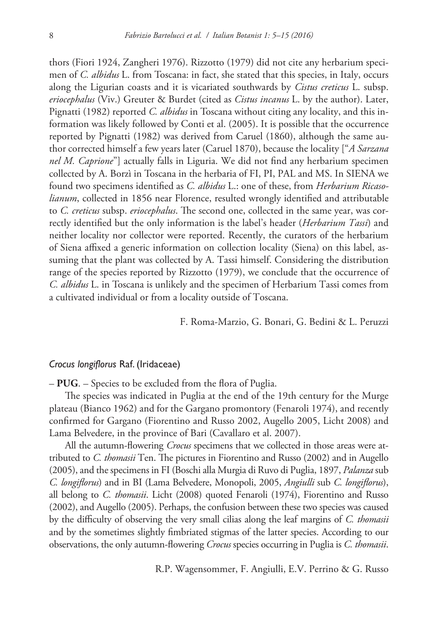thors (Fiori 1924, Zangheri 1976). Rizzotto (1979) did not cite any herbarium specimen of *C. albidus* L. from Toscana: in fact, she stated that this species, in Italy, occurs along the Ligurian coasts and it is vicariated southwards by *Cistus creticus* L. subsp. *eriocephalus* (Viv.) Greuter & Burdet (cited as *Cistus incanus* L. by the author). Later, Pignatti (1982) reported *C. albidus* in Toscana without citing any locality, and this information was likely followed by Conti et al. (2005). It is possible that the occurrence reported by Pignatti (1982) was derived from Caruel (1860), although the same author corrected himself a few years later (Caruel 1870), because the locality ["*A Sarzana nel M. Caprione*"] actually falls in Liguria. We did not find any herbarium specimen collected by A. Borzì in Toscana in the herbaria of FI, PI, PAL and MS. In SIENA we found two specimens identified as *C. albidus* L.: one of these, from *Herbarium Ricasolianum*, collected in 1856 near Florence, resulted wrongly identified and attributable to *C. creticus* subsp. *eriocephalus*. The second one, collected in the same year, was correctly identified but the only information is the label's header (*Herbarium Tassi*) and neither locality nor collector were reported. Recently, the curators of the herbarium of Siena affixed a generic information on collection locality (Siena) on this label, assuming that the plant was collected by A. Tassi himself. Considering the distribution range of the species reported by Rizzotto (1979), we conclude that the occurrence of *C. albidus* L. in Toscana is unlikely and the specimen of Herbarium Tassi comes from a cultivated individual or from a locality outside of Toscana.

F. Roma-Marzio, G. Bonari, G. Bedini & L. Peruzzi

#### *Crocus longiflorus* Raf. (Iridaceae)

– **PUG**. – Species to be excluded from the flora of Puglia.

The species was indicated in Puglia at the end of the 19th century for the Murge plateau (Bianco 1962) and for the Gargano promontory (Fenaroli 1974), and recently confirmed for Gargano (Fiorentino and Russo 2002, Augello 2005, Licht 2008) and Lama Belvedere, in the province of Bari (Cavallaro et al. 2007).

All the autumn-flowering *Crocus* specimens that we collected in those areas were attributed to *C. thomasii* Ten. The pictures in Fiorentino and Russo (2002) and in Augello (2005), and the specimens in FI (Boschi alla Murgia di Ruvo di Puglia, 1897, *Palanza* sub *C. longiflorus*) and in BI (Lama Belvedere, Monopoli, 2005, *Angiulli* sub *C. longiflorus*), all belong to *C. thomasii*. Licht (2008) quoted Fenaroli (1974), Fiorentino and Russo (2002), and Augello (2005). Perhaps, the confusion between these two species was caused by the difficulty of observing the very small cilias along the leaf margins of *C. thomasii* and by the sometimes slightly fimbriated stigmas of the latter species. According to our observations, the only autumn-flowering *Crocus* species occurring in Puglia is *C. thomasii*.

R.P. Wagensommer, F. Angiulli, E.V. Perrino & G. Russo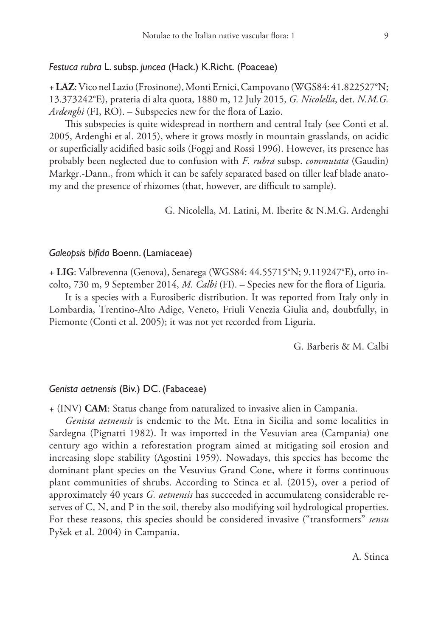## *Festuca rubra* L. subsp. *juncea* (Hack.) K.Richt. (Poaceae)

+ **LAZ**: Vico nel Lazio (Frosinone), Monti Ernici, Campovano (WGS84: 41.822527°N; 13.373242°E), prateria di alta quota, 1880 m, 12 July 2015, *G. Nicolella*, det. *N.M.G. Ardenghi* (FI, RO). – Subspecies new for the flora of Lazio.

This subspecies is quite widespread in northern and central Italy (see Conti et al. 2005, Ardenghi et al. 2015), where it grows mostly in mountain grasslands, on acidic or superficially acidified basic soils (Foggi and Rossi 1996). However, its presence has probably been neglected due to confusion with *F. rubra* subsp. *commutata* (Gaudin) Markgr.-Dann., from which it can be safely separated based on tiller leaf blade anatomy and the presence of rhizomes (that, however, are difficult to sample).

G. Nicolella, M. Latini, M. Iberite & N.M.G. Ardenghi

#### *Galeopsis bifida* Boenn. (Lamiaceae)

+ **LIG**: Valbrevenna (Genova), Senarega (WGS84: 44.55715°N; 9.119247°E), orto incolto, 730 m, 9 September 2014, *M. Calbi* (FI). – Species new for the flora of Liguria.

It is a species with a Eurosiberic distribution. It was reported from Italy only in Lombardia, Trentino-Alto Adige, Veneto, Friuli Venezia Giulia and, doubtfully, in Piemonte (Conti et al. 2005); it was not yet recorded from Liguria.

G. Barberis & M. Calbi

#### *Genista aetnensis* (Biv.) DC. (Fabaceae)

+ (INV) **CAM**: Status change from naturalized to invasive alien in Campania.

*Genista aetnensis* is endemic to the Mt. Etna in Sicilia and some localities in Sardegna (Pignatti 1982). It was imported in the Vesuvian area (Campania) one century ago within a reforestation program aimed at mitigating soil erosion and increasing slope stability (Agostini 1959). Nowadays, this species has become the dominant plant species on the Vesuvius Grand Cone, where it forms continuous plant communities of shrubs. According to Stinca et al. (2015), over a period of approximately 40 years *G. aetnensis* has succeeded in accumulateng considerable reserves of C, N, and P in the soil, thereby also modifying soil hydrological properties. For these reasons, this species should be considered invasive ("transformers" *sensu* Pyšek et al. 2004) in Campania.

A. Stinca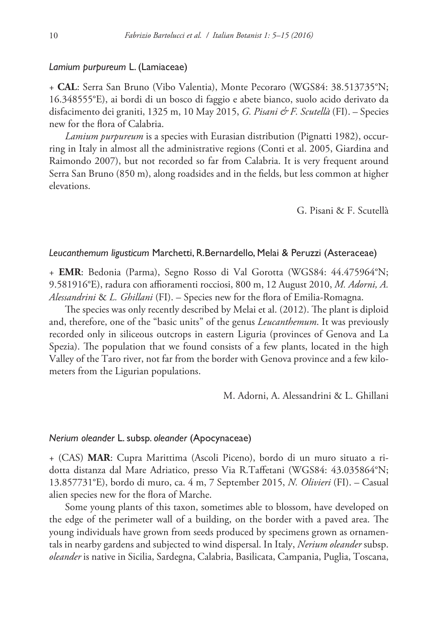#### *Lamium purpureum* L. (Lamiaceae)

+ **CAL**: Serra San Bruno (Vibo Valentia), Monte Pecoraro (WGS84: 38.513735°N; 16.348555°E), ai bordi di un bosco di faggio e abete bianco, suolo acido derivato da disfacimento dei graniti, 1325 m, 10 May 2015, *G. Pisani & F. Scutellà* (FI). – Species new for the flora of Calabria.

*Lamium purpureum* is a species with Eurasian distribution (Pignatti 1982), occurring in Italy in almost all the administrative regions (Conti et al. 2005, Giardina and Raimondo 2007), but not recorded so far from Calabria. It is very frequent around Serra San Bruno (850 m), along roadsides and in the fields, but less common at higher elevations.

G. Pisani & F. Scutellà

#### *Leucanthemum ligusticum* Marchetti, R.Bernardello, Melai & Peruzzi (Asteraceae)

+ **EMR**: Bedonia (Parma), Segno Rosso di Val Gorotta (WGS84: 44.475964°N; 9.581916°E), radura con affioramenti rocciosi, 800 m, 12 August 2010, *M. Adorni, A. Alessandrini* & *L. Ghillani* (FI). – Species new for the flora of Emilia-Romagna.

The species was only recently described by Melai et al. (2012). The plant is diploid and, therefore, one of the "basic units" of the genus *Leucanthemum*. It was previously recorded only in siliceous outcrops in eastern Liguria (provinces of Genova and La Spezia). The population that we found consists of a few plants, located in the high Valley of the Taro river, not far from the border with Genova province and a few kilometers from the Ligurian populations.

M. Adorni, A. Alessandrini & L. Ghillani

#### *Nerium oleander* L. subsp. *oleander* (Apocynaceae)

+ (CAS) **MAR**: Cupra Marittima (Ascoli Piceno), bordo di un muro situato a ridotta distanza dal Mare Adriatico, presso Via R.Taffetani (WGS84: 43.035864°N; 13.857731°E), bordo di muro, ca. 4 m, 7 September 2015, *N. Olivieri* (FI). – Casual alien species new for the flora of Marche.

Some young plants of this taxon, sometimes able to blossom, have developed on the edge of the perimeter wall of a building, on the border with a paved area. The young individuals have grown from seeds produced by specimens grown as ornamentals in nearby gardens and subjected to wind dispersal. In Italy, *Nerium oleander* subsp. *oleander* is native in Sicilia, Sardegna, Calabria, Basilicata, Campania, Puglia, Toscana,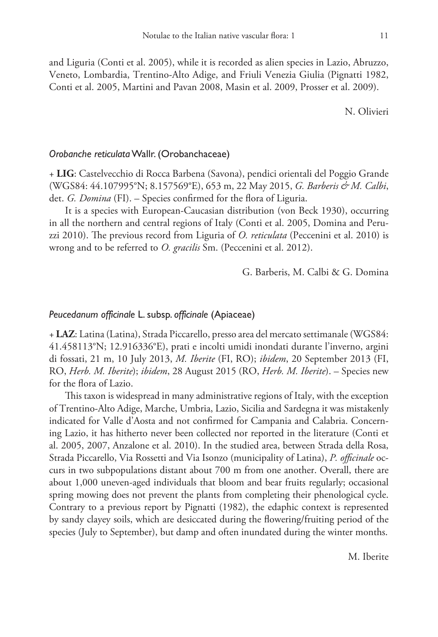and Liguria (Conti et al. 2005), while it is recorded as alien species in Lazio, Abruzzo, Veneto, Lombardia, Trentino-Alto Adige, and Friuli Venezia Giulia (Pignatti 1982, Conti et al. 2005, Martini and Pavan 2008, Masin et al. 2009, Prosser et al. 2009).

N. Olivieri

#### *Orobanche reticulata* Wallr. (Orobanchaceae)

+ **LIG**: Castelvecchio di Rocca Barbena (Savona), pendici orientali del Poggio Grande (WGS84: 44.107995°N; 8.157569°E), 653 m, 22 May 2015, *G. Barberis & M. Calbi*, det. *G. Domina* (FI). – Species confirmed for the flora of Liguria.

It is a species with European-Caucasian distribution (von Beck 1930), occurring in all the northern and central regions of Italy (Conti et al. 2005, Domina and Peruzzi 2010). The previous record from Liguria of *O. reticulata* (Peccenini et al. 2010) is wrong and to be referred to *O. gracilis* Sm. (Peccenini et al. 2012).

G. Barberis, M. Calbi & G. Domina

## *Peucedanum officinale* L. subsp. *officinale* (Apiaceae)

+ **LAZ**: Latina (Latina), Strada Piccarello, presso area del mercato settimanale (WGS84: 41.458113°N; 12.916336°E), prati e incolti umidi inondati durante l'inverno, argini di fossati, 21 m, 10 July 2013, *M. Iberite* (FI, RO); *ibidem*, 20 September 2013 (FI, RO, *Herb. M. Iberite*); *ibidem*, 28 August 2015 (RO, *Herb. M. Iberite*). – Species new for the flora of Lazio.

This taxon is widespread in many administrative regions of Italy, with the exception of Trentino-Alto Adige, Marche, Umbria, Lazio, Sicilia and Sardegna it was mistakenly indicated for Valle d'Aosta and not confirmed for Campania and Calabria. Concerning Lazio, it has hitherto never been collected nor reported in the literature (Conti et al. 2005, 2007, Anzalone et al. 2010). In the studied area, between Strada della Rosa, Strada Piccarello, Via Rossetti and Via Isonzo (municipality of Latina), *P. officinale* occurs in two subpopulations distant about 700 m from one another. Overall, there are about 1,000 uneven-aged individuals that bloom and bear fruits regularly; occasional spring mowing does not prevent the plants from completing their phenological cycle. Contrary to a previous report by Pignatti (1982), the edaphic context is represented by sandy clayey soils, which are desiccated during the flowering/fruiting period of the species (July to September), but damp and often inundated during the winter months.

M. Iberite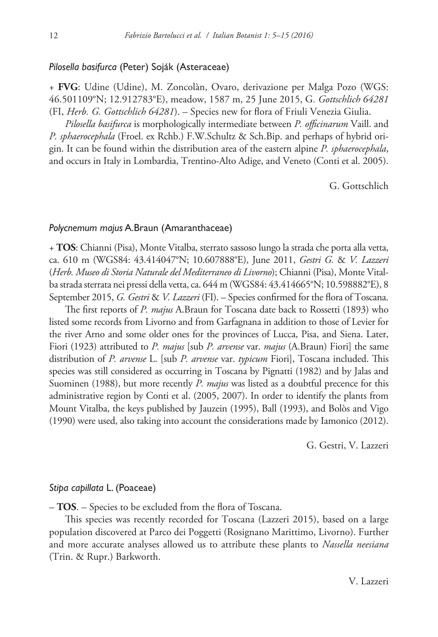## *Pilosella basifurca* (Peter) Soják (Asteraceae)

+ **FVG**: Udine (Udine), M. Zoncolàn, Ovaro, derivazione per Malga Pozo (WGS: 46.501109°N; 12.912783°E), meadow, 1587 m, 25 June 2015, G*. Gottschlich 64281* (FI, *Herb. G. Gottschlich 64281*). – Species new for flora of Friuli Venezia Giulia.

*Pilosella basifurca* is morphologically intermediate between *P. officinarum* Vaill. and *P. sphaerocephala* (Froel. ex Rchb.) F.W.Schultz & Sch.Bip. and perhaps of hybrid origin. It can be found within the distribution area of the eastern alpine *P. sphaerocephala*, and occurs in Italy in Lombardia, Trentino-Alto Adige, and Veneto (Conti et al. 2005).

G. Gottschlich

#### *Polycnemum majus* A.Braun (Amaranthaceae)

+ **TOS**: Chianni (Pisa), Monte Vitalba, sterrato sassoso lungo la strada che porta alla vetta, ca. 610 m (WGS84: 43.414047°N; 10.607888°E), June 2011, *Gestri G.* & *V. Lazzeri*  (*Herb. Museo di Storia Naturale del Mediterraneo di Livorno*); Chianni (Pisa), Monte Vitalba strada sterrata nei pressi della vetta, ca. 644 m (WGS84: 43.414665°N; 10.598882°E), 8 September 2015, *G. Gestri* & *V. Lazzeri* (FI). – Species confirmed for the flora of Toscana.

The first reports of *P. majus* A.Braun for Toscana date back to Rossetti (1893) who listed some records from Livorno and from Garfagnana in addition to those of Levier for the river Arno and some older ones for the provinces of Lucca, Pisa, and Siena. Later, Fiori (1923) attributed to *P. majus* [sub *P. arvense* var. *majus* (A.Braun) Fiori] the same distribution of *P. arvense* L. [sub *P. arvense* var. *typicum* Fiori], Toscana included. This species was still considered as occurring in Toscana by Pignatti (1982) and by Jalas and Suominen (1988), but more recently *P. majus* was listed as a doubtful precence for this administrative region by Conti et al. (2005, 2007). In order to identify the plants from Mount Vitalba, the keys published by Jauzein (1995), Ball (1993), and Bolòs and Vigo (1990) were used, also taking into account the considerations made by Iamonico (2012).

G. Gestri, V. Lazzeri

## *Stipa capillata* L. (Poaceae)

– **TOS**. – Species to be excluded from the flora of Toscana.

This species was recently recorded for Toscana (Lazzeri 2015), based on a large population discovered at Parco dei Poggetti (Rosignano Marittimo, Livorno). Further and more accurate analyses allowed us to attribute these plants to *Nassella neesiana* (Trin. & Rupr.) Barkworth.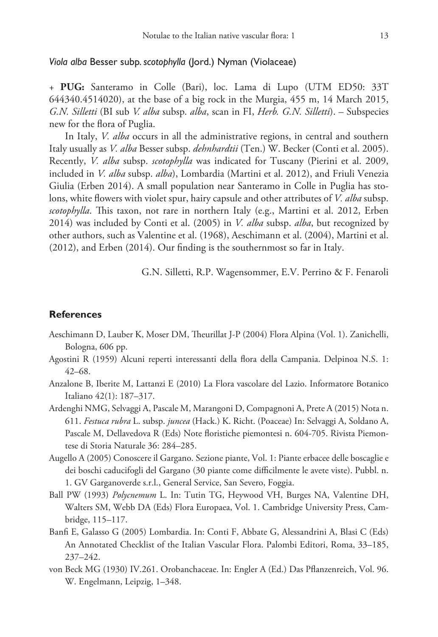## *Viola alba* Besser subp. *scotophylla* (Jord.) Nyman (Violaceae)

+ **PUG:** Santeramo in Colle (Bari), loc. Lama di Lupo (UTM ED50: 33T 644340.4514020), at the base of a big rock in the Murgia, 455 m, 14 March 2015, *G.N. Silletti* (BI sub *V. alba* subsp. *alba*, scan in FI, *Herb. G.N. Silletti*). – Subspecies new for the flora of Puglia.

In Italy, *V. alba* occurs in all the administrative regions, in central and southern Italy usually as *V. alba* Besser subsp. *dehnhardtii* (Ten.) W. Becker (Conti et al. 2005). Recently, *V. alba* subsp. *scotophylla* was indicated for Tuscany (Pierini et al. 2009, included in *V. alba* subsp. *alba*), Lombardia (Martini et al. 2012), and Friuli Venezia Giulia (Erben 2014). A small population near Santeramo in Colle in Puglia has stolons, white flowers with violet spur, hairy capsule and other attributes of *V. alba* subsp. *scotophylla*. This taxon, not rare in northern Italy (e.g., Martini et al. 2012, Erben 2014) was included by Conti et al. (2005) in *V. alba* subsp. *alba*, but recognized by other authors, such as Valentine et al. (1968), Aeschimann et al. (2004), Martini et al. (2012), and Erben (2014). Our finding is the southernmost so far in Italy.

G.N. Silletti, R.P. Wagensommer, E.V. Perrino & F. Fenaroli

## **References**

- Aeschimann D, Lauber K, Moser DM, Theurillat J-P (2004) Flora Alpina (Vol. 1). Zanichelli, Bologna, 606 pp.
- Agostini R (1959) Alcuni reperti interessanti della flora della Campania. Delpinoa N.S. 1: 42–68.
- Anzalone B, Iberite M, Lattanzi E (2010) La Flora vascolare del Lazio. Informatore Botanico Italiano 42(1): 187–317.
- Ardenghi NMG, Selvaggi A, Pascale M, Marangoni D, Compagnoni A, Prete A (2015) Nota n. 611. *Festuca rubra* L. subsp. *juncea* (Hack.) K. Richt. (Poaceae) In: Selvaggi A, Soldano A, Pascale M, Dellavedova R (Eds) Note floristiche piemontesi n. 604-705. Rivista Piemontese di Storia Naturale 36: 284–285.
- Augello A (2005) Conoscere il Gargano. Sezione piante, Vol. 1: Piante erbacee delle boscaglie e dei boschi caducifogli del Gargano (30 piante come difficilmente le avete viste). Pubbl. n. 1. GV Garganoverde s.r.l., General Service, San Severo, Foggia.
- Ball PW (1993) *Polycnemum* L. In: Tutin TG, Heywood VH, Burges NA, Valentine DH, Walters SM, Webb DA (Eds) Flora Europaea, Vol. 1. Cambridge University Press, Cambridge, 115–117.
- Banfi E, Galasso G (2005) Lombardia. In: Conti F, Abbate G, Alessandrini A, Blasi C (Eds) An Annotated Checklist of the Italian Vascular Flora. Palombi Editori, Roma, 33–185, 237–242.
- von Beck MG (1930) IV.261. Orobanchaceae. In: Engler A (Ed.) Das Pflanzenreich, Vol. 96. W. Engelmann, Leipzig, 1–348.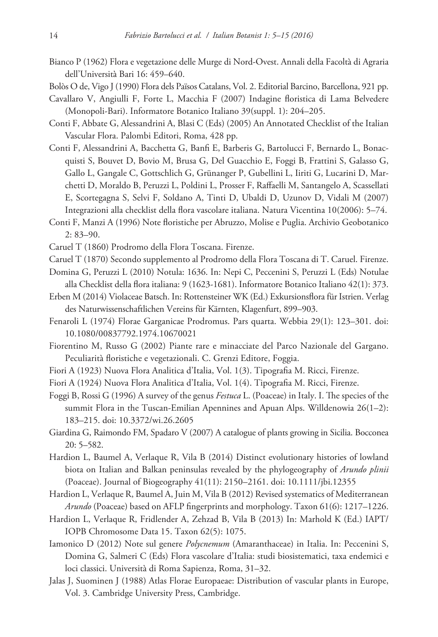- Bianco P (1962) Flora e vegetazione delle Murge di Nord-Ovest. Annali della Facoltà di Agraria dell'Università Bari 16: 459–640.
- Bolòs O de, Vigo J (1990) Flora dels Països Catalans, Vol. 2. Editorial Barcino, Barcellona, 921 pp.
- Cavallaro V, Angiulli F, Forte L, Macchia F (2007) Indagine floristica di Lama Belvedere (Monopoli-Bari). Informatore Botanico Italiano 39(suppl. 1): 204–205.
- Conti F, Abbate G, Alessandrini A, Blasi C (Eds) (2005) An Annotated Checklist of the Italian Vascular Flora. Palombi Editori, Roma, 428 pp.
- Conti F, Alessandrini A, Bacchetta G, Banfi E, Barberis G, Bartolucci F, Bernardo L, Bonacquisti S, Bouvet D, Bovio M, Brusa G, Del Guacchio E, Foggi B, Frattini S, Galasso G, Gallo L, Gangale C, Gottschlich G, Grünanger P, Gubellini L, Iiriti G, Lucarini D, Marchetti D, Moraldo B, Peruzzi L, Poldini L, Prosser F, Raffaelli M, Santangelo A, Scassellati E, Scortegagna S, Selvi F, Soldano A, Tinti D, Ubaldi D, Uzunov D, Vidali M (2007) Integrazioni alla checklist della flora vascolare italiana. Natura Vicentina 10(2006): 5–74.
- Conti F, Manzi A (1996) Note floristiche per Abruzzo, Molise e Puglia. Archivio Geobotanico 2: 83–90.
- Caruel T (1860) Prodromo della Flora Toscana. Firenze.
- Caruel T (1870) Secondo supplemento al Prodromo della Flora Toscana di T. Caruel. Firenze.
- Domina G, Peruzzi L (2010) Notula: 1636. In: Nepi C, Peccenini S, Peruzzi L (Eds) Notulae alla Checklist della flora italiana: 9 (1623-1681). Informatore Botanico Italiano 42(1): 373.
- Erben M (2014) Violaceae Batsch. In: Rottensteiner WK (Ed.) Exkursionsflora für Istrien. Verlag des Naturwissenschaftlichen Vereins für Kärnten, Klagenfurt, 899–903.
- Fenaroli L (1974) Florae Garganicae Prodromus. Pars quarta. Webbia 29(1): 123–301. [doi:](http://dx.doi.org/10.1080/00837792.1974.10670021) [10.1080/00837792.1974.10670021](http://dx.doi.org/10.1080/00837792.1974.10670021)
- Fiorentino M, Russo G (2002) Piante rare e minacciate del Parco Nazionale del Gargano. Peculiarità floristiche e vegetazionali. C. Grenzi Editore, Foggia.
- Fiori A (1923) Nuova Flora Analitica d'Italia, Vol. 1(3). Tipografia M. Ricci, Firenze.
- Fiori A (1924) Nuova Flora Analitica d'Italia, Vol. 1(4). Tipografia M. Ricci, Firenze.
- Foggi B, Rossi G (1996) A survey of the genus *Festuca* L. (Poaceae) in Italy. I. The species of the summit Flora in the Tuscan-Emilian Apennines and Apuan Alps. Willdenowia 26(1–2): 183–215. [doi: 10.3372/wi.26.2605](http://dx.doi.org/10.3372/wi.26.2605)
- Giardina G, Raimondo FM, Spadaro V (2007) A catalogue of plants growing in Sicilia. Bocconea 20: 5–582.
- Hardion L, Baumel A, Verlaque R, Vila B (2014) Distinct evolutionary histories of lowland biota on Italian and Balkan peninsulas revealed by the phylogeography of *Arundo plinii* (Poaceae). Journal of Biogeography 41(11): 2150–2161. [doi: 10.1111/jbi.12355](http://dx.doi.org/10.1111/jbi.12355)
- Hardion L, Verlaque R, Baumel A, Juin M, Vila B (2012) Revised systematics of Mediterranean *Arundo* (Poaceae) based on AFLP fingerprints and morphology. Taxon 61(6): 1217–1226.
- Hardion L, Verlaque R, Fridlender A, Zehzad B, Vila B (2013) In: Marhold K (Ed.) IAPT/ IOPB Chromosome Data 15. Taxon 62(5): 1075.
- Iamonico D (2012) Note sul genere *Polycnemum* (Amaranthaceae) in Italia. In: Peccenini S, Domina G, Salmeri C (Eds) Flora vascolare d'Italia: studi biosistematici, taxa endemici e loci classici. Università di Roma Sapienza, Roma, 31–32.
- Jalas J, Suominen J (1988) Atlas Florae Europaeae: Distribution of vascular plants in Europe, Vol. 3. Cambridge University Press, Cambridge.